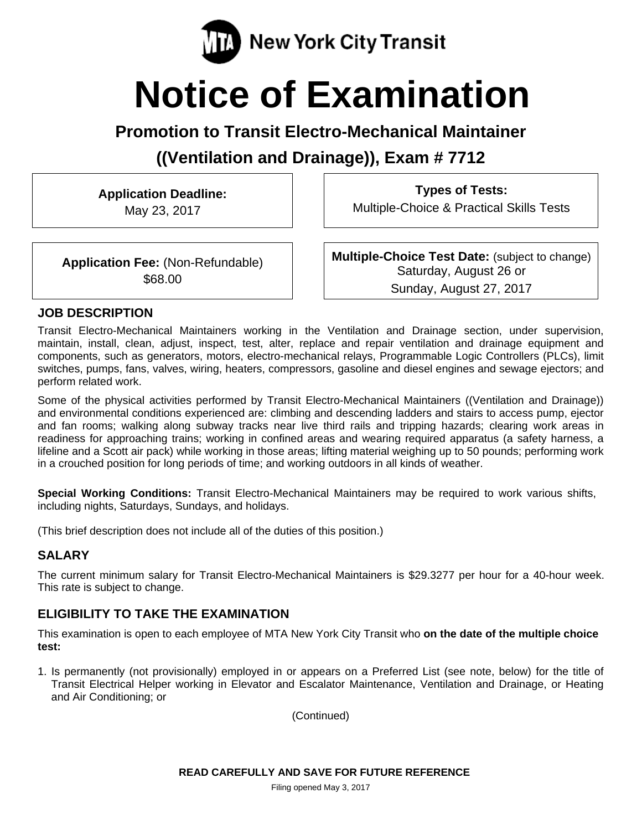

# **Notice of Examination**

# **Promotion to Transit Electro-Mechanical Maintainer**

**((Ventilation and Drainage)), Exam # 7712** 

**Application Deadline:**  May 23, 2017

**Types of Tests:**  Multiple-Choice & Practical Skills Tests

**Application Fee:** (Non-Refundable) \$68.00

**Multiple-Choice Test Date:** (subject to change) Saturday, August 26 or Sunday, August 27, 2017

#### **JOB DESCRIPTION**

Transit Electro-Mechanical Maintainers working in the Ventilation and Drainage section, under supervision, maintain, install, clean, adjust, inspect, test, alter, replace and repair ventilation and drainage equipment and components, such as generators, motors, electro-mechanical relays, Programmable Logic Controllers (PLCs), limit switches, pumps, fans, valves, wiring, heaters, compressors, gasoline and diesel engines and sewage ejectors; and perform related work.

Some of the physical activities performed by Transit Electro-Mechanical Maintainers ((Ventilation and Drainage)) and environmental conditions experienced are: climbing and descending ladders and stairs to access pump, ejector and fan rooms; walking along subway tracks near live third rails and tripping hazards; clearing work areas in readiness for approaching trains; working in confined areas and wearing required apparatus (a safety harness, a lifeline and a Scott air pack) while working in those areas; lifting material weighing up to 50 pounds; performing work in a crouched position for long periods of time; and working outdoors in all kinds of weather.

**Special Working Conditions:** Transit Electro-Mechanical Maintainers may be required to work various shifts, including nights, Saturdays, Sundays, and holidays.

(This brief description does not include all of the duties of this position.)

## **SALARY**

The current minimum salary for Transit Electro-Mechanical Maintainers is \$29.3277 per hour for a 40-hour week. This rate is subject to change.

## **ELIGIBILITY TO TAKE THE EXAMINATION**

This examination is open to each employee of MTA New York City Transit who **on the date of the multiple choice test:** 

1. Is permanently (not provisionally) employed in or appears on a Preferred List (see note, below) for the title of Transit Electrical Helper working in Elevator and Escalator Maintenance, Ventilation and Drainage, or Heating and Air Conditioning; or

(Continued)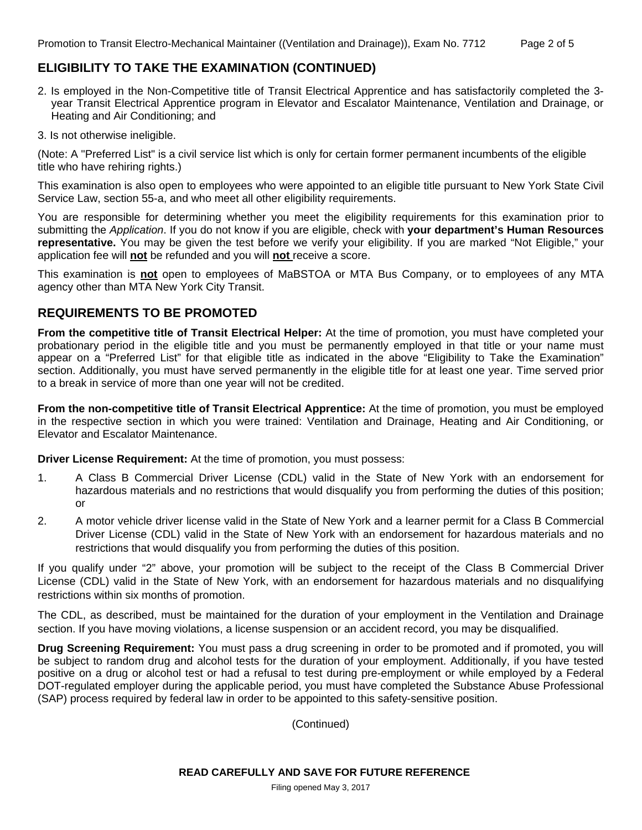## **ELIGIBILITY TO TAKE THE EXAMINATION (CONTINUED)**

- 2. Is employed in the Non-Competitive title of Transit Electrical Apprentice and has satisfactorily completed the 3 year Transit Electrical Apprentice program in Elevator and Escalator Maintenance, Ventilation and Drainage, or Heating and Air Conditioning; and
- 3. Is not otherwise ineligible.

(Note: A "Preferred List" is a civil service list which is only for certain former permanent incumbents of the eligible title who have rehiring rights.)

This examination is also open to employees who were appointed to an eligible title pursuant to New York State Civil Service Law, section 55-a, and who meet all other eligibility requirements.

You are responsible for determining whether you meet the eligibility requirements for this examination prior to submitting the *Application*. If you do not know if you are eligible, check with **your department's Human Resources representative.** You may be given the test before we verify your eligibility. If you are marked "Not Eligible," your application fee will **not** be refunded and you will **not** receive a score.

This examination is **not** open to employees of MaBSTOA or MTA Bus Company, or to employees of any MTA agency other than MTA New York City Transit.

#### **REQUIREMENTS TO BE PROMOTED**

**From the competitive title of Transit Electrical Helper:** At the time of promotion, you must have completed your probationary period in the eligible title and you must be permanently employed in that title or your name must appear on a "Preferred List" for that eligible title as indicated in the above "Eligibility to Take the Examination" section. Additionally, you must have served permanently in the eligible title for at least one year. Time served prior to a break in service of more than one year will not be credited.

**From the non-competitive title of Transit Electrical Apprentice:** At the time of promotion, you must be employed in the respective section in which you were trained: Ventilation and Drainage, Heating and Air Conditioning, or Elevator and Escalator Maintenance.

**Driver License Requirement:** At the time of promotion, you must possess:

- 1. A Class B Commercial Driver License (CDL) valid in the State of New York with an endorsement for hazardous materials and no restrictions that would disqualify you from performing the duties of this position; or
- 2. A motor vehicle driver license valid in the State of New York and a learner permit for a Class B Commercial Driver License (CDL) valid in the State of New York with an endorsement for hazardous materials and no restrictions that would disqualify you from performing the duties of this position.

If you qualify under "2" above, your promotion will be subject to the receipt of the Class B Commercial Driver License (CDL) valid in the State of New York, with an endorsement for hazardous materials and no disqualifying restrictions within six months of promotion.

The CDL, as described, must be maintained for the duration of your employment in the Ventilation and Drainage section. If you have moving violations, a license suspension or an accident record, you may be disqualified.

**Drug Screening Requirement:** You must pass a drug screening in order to be promoted and if promoted, you will be subject to random drug and alcohol tests for the duration of your employment. Additionally, if you have tested positive on a drug or alcohol test or had a refusal to test during pre-employment or while employed by a Federal DOT-regulated employer during the applicable period, you must have completed the Substance Abuse Professional (SAP) process required by federal law in order to be appointed to this safety-sensitive position.

(Continued)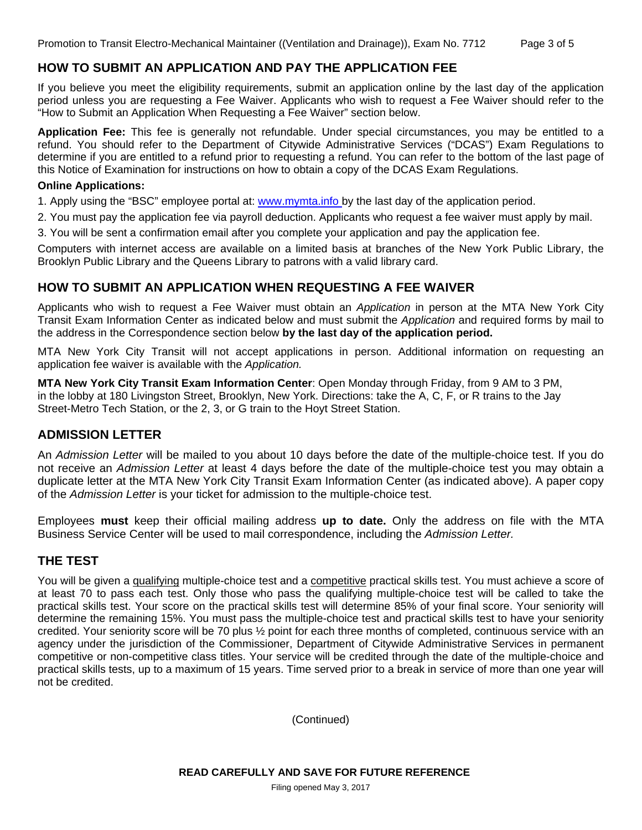#### **HOW TO SUBMIT AN APPLICATION AND PAY THE APPLICATION FEE**

If you believe you meet the eligibility requirements, submit an application online by the last day of the application period unless you are requesting a Fee Waiver. Applicants who wish to request a Fee Waiver should refer to the "How to Submit an Application When Requesting a Fee Waiver" section below.

**Application Fee:** This fee is generally not refundable. Under special circumstances, you may be entitled to a refund. You should refer to the Department of Citywide Administrative Services ("DCAS") Exam Regulations to determine if you are entitled to a refund prior to requesting a refund. You can refer to the bottom of the last page of this Notice of Examination for instructions on how to obtain a copy of the DCAS Exam Regulations.

#### **Online Applications:**

1. Apply using the "BSC" employee portal at: www.mymta.info by the last day of the application period.

2. You must pay the application fee via payroll deduction. Applicants who request a fee waiver must apply by mail.

3. You will be sent a confirmation email after you complete your application and pay the application fee.

Computers with internet access are available on a limited basis at branches of the New York Public Library, the Brooklyn Public Library and the Queens Library to patrons with a valid library card.

#### **HOW TO SUBMIT AN APPLICATION WHEN REQUESTING A FEE WAIVER**

Applicants who wish to request a Fee Waiver must obtain an *Application* in person at the MTA New York City Transit Exam Information Center as indicated below and must submit the *Application* and required forms by mail to the address in the Correspondence section below **by the last day of the application period.**

MTA New York City Transit will not accept applications in person. Additional information on requesting an application fee waiver is available with the *Application.* 

**MTA New York City Transit Exam Information Center**: Open Monday through Friday, from 9 AM to 3 PM, in the lobby at 180 Livingston Street, Brooklyn, New York. Directions: take the A, C, F, or R trains to the Jay Street-Metro Tech Station, or the 2, 3, or G train to the Hoyt Street Station.

#### **ADMISSION LETTER**

An *Admission Letter* will be mailed to you about 10 days before the date of the multiple-choice test. If you do not receive an *Admission Letter* at least 4 days before the date of the multiple-choice test you may obtain a duplicate letter at the MTA New York City Transit Exam Information Center (as indicated above). A paper copy of the *Admission Letter* is your ticket for admission to the multiple-choice test.

Employees **must** keep their official mailing address **up to date.** Only the address on file with the MTA Business Service Center will be used to mail correspondence, including the *Admission Letter.*

#### **THE TEST**

You will be given a qualifying multiple-choice test and a competitive practical skills test. You must achieve a score of at least 70 to pass each test. Only those who pass the qualifying multiple-choice test will be called to take the practical skills test. Your score on the practical skills test will determine 85% of your final score. Your seniority will determine the remaining 15%. You must pass the multiple-choice test and practical skills test to have your seniority credited. Your seniority score will be 70 plus ½ point for each three months of completed, continuous service with an agency under the jurisdiction of the Commissioner, Department of Citywide Administrative Services in permanent competitive or non-competitive class titles. Your service will be credited through the date of the multiple-choice and practical skills tests, up to a maximum of 15 years. Time served prior to a break in service of more than one year will not be credited.

(Continued)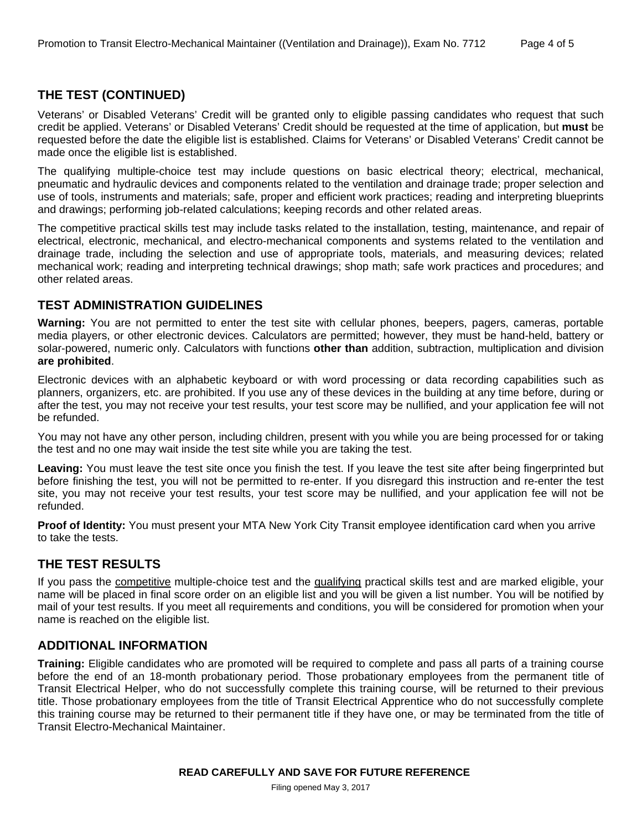#### **THE TEST (CONTINUED)**

Veterans' or Disabled Veterans' Credit will be granted only to eligible passing candidates who request that such credit be applied. Veterans' or Disabled Veterans' Credit should be requested at the time of application, but **must** be requested before the date the eligible list is established. Claims for Veterans' or Disabled Veterans' Credit cannot be made once the eligible list is established.

The qualifying multiple-choice test may include questions on basic electrical theory; electrical, mechanical, pneumatic and hydraulic devices and components related to the ventilation and drainage trade; proper selection and use of tools, instruments and materials; safe, proper and efficient work practices; reading and interpreting blueprints and drawings; performing job-related calculations; keeping records and other related areas.

The competitive practical skills test may include tasks related to the installation, testing, maintenance, and repair of electrical, electronic, mechanical, and electro-mechanical components and systems related to the ventilation and drainage trade, including the selection and use of appropriate tools, materials, and measuring devices; related mechanical work; reading and interpreting technical drawings; shop math; safe work practices and procedures; and other related areas.

#### **TEST ADMINISTRATION GUIDELINES**

**Warning:** You are not permitted to enter the test site with cellular phones, beepers, pagers, cameras, portable media players, or other electronic devices. Calculators are permitted; however, they must be hand-held, battery or solar-powered, numeric only. Calculators with functions **other than** addition, subtraction, multiplication and division **are prohibited**.

Electronic devices with an alphabetic keyboard or with word processing or data recording capabilities such as planners, organizers, etc. are prohibited. If you use any of these devices in the building at any time before, during or after the test, you may not receive your test results, your test score may be nullified, and your application fee will not be refunded.

You may not have any other person, including children, present with you while you are being processed for or taking the test and no one may wait inside the test site while you are taking the test.

**Leaving:** You must leave the test site once you finish the test. If you leave the test site after being fingerprinted but before finishing the test, you will not be permitted to re-enter. If you disregard this instruction and re-enter the test site, you may not receive your test results, your test score may be nullified, and your application fee will not be refunded.

**Proof of Identity:** You must present your MTA New York City Transit employee identification card when you arrive to take the tests.

#### **THE TEST RESULTS**

If you pass the competitive multiple-choice test and the qualifying practical skills test and are marked eligible, your name will be placed in final score order on an eligible list and you will be given a list number. You will be notified by mail of your test results. If you meet all requirements and conditions, you will be considered for promotion when your name is reached on the eligible list.

#### **ADDITIONAL INFORMATION**

**Training:** Eligible candidates who are promoted will be required to complete and pass all parts of a training course before the end of an 18-month probationary period. Those probationary employees from the permanent title of Transit Electrical Helper, who do not successfully complete this training course, will be returned to their previous title. Those probationary employees from the title of Transit Electrical Apprentice who do not successfully complete this training course may be returned to their permanent title if they have one, or may be terminated from the title of Transit Electro-Mechanical Maintainer.